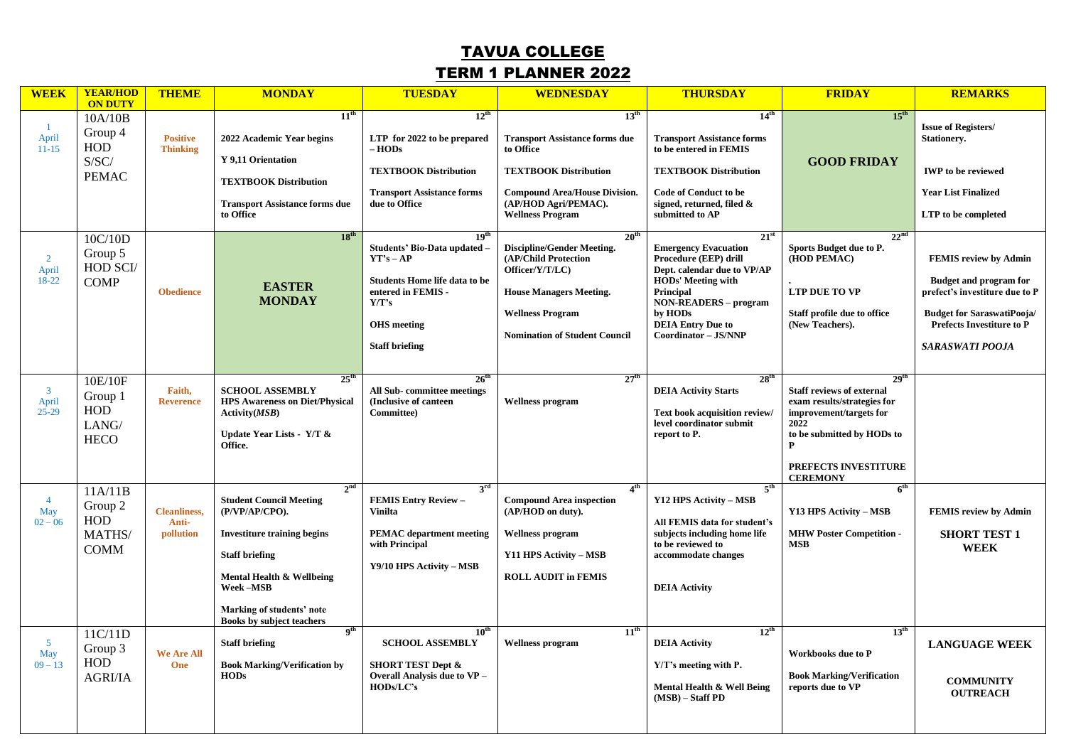## TAVUA COLLEGE TERM 1 PLANNER 2022

| <b>WEEK</b>                         | <b>YEAR/HOD</b><br><b>ON DUTY</b>                               | <b>THEME</b>                              | <b>MONDAY</b>                                                                                                                                                                                                                                | <b>TUESDAY</b>                                                                                                                                                                        | <b>WEDNESDAY</b>                                                                                                                                                                                  | <b>THURSDAY</b>                                                                                                                                                                                                                        | <b>FRIDAY</b>                                                                                                                                                                                        | <b>REMARKS</b>                                                                                                                                                                                     |
|-------------------------------------|-----------------------------------------------------------------|-------------------------------------------|----------------------------------------------------------------------------------------------------------------------------------------------------------------------------------------------------------------------------------------------|---------------------------------------------------------------------------------------------------------------------------------------------------------------------------------------|---------------------------------------------------------------------------------------------------------------------------------------------------------------------------------------------------|----------------------------------------------------------------------------------------------------------------------------------------------------------------------------------------------------------------------------------------|------------------------------------------------------------------------------------------------------------------------------------------------------------------------------------------------------|----------------------------------------------------------------------------------------------------------------------------------------------------------------------------------------------------|
| $\mathbf{1}$<br>April<br>$11 - 15$  | 10A/10B<br>Group 4<br>HOD<br>S/SC/<br><b>PEMAC</b>              | <b>Positive</b><br><b>Thinking</b>        | 11 <sup>th</sup><br>2022 Academic Year begins<br>Y 9,11 Orientation<br><b>TEXTBOOK Distribution</b><br><b>Transport Assistance forms due</b><br>to Office                                                                                    | $12^{\text{th}}$<br>LTP for 2022 to be prepared<br>– HODs<br><b>TEXTBOOK Distribution</b><br><b>Transport Assistance forms</b><br>due to Office                                       | 13 <sup>th</sup><br><b>Transport Assistance forms due</b><br>to Office<br><b>TEXTBOOK Distribution</b><br><b>Compound Area/House Division.</b><br>(AP/HOD Agri/PEMAC).<br><b>Wellness Program</b> | 14 <sup>th</sup><br><b>Transport Assistance forms</b><br>to be entered in FEMIS<br><b>TEXTBOOK Distribution</b><br><b>Code of Conduct to be</b><br>signed, returned, filed $\&$<br>submitted to AP                                     | 15 <sup>th</sup><br><b>GOOD FRIDAY</b>                                                                                                                                                               | <b>Issue of Registers/</b><br><b>Stationery.</b><br><b>IWP</b> to be reviewed<br><b>Year List Finalized</b><br>LTP to be completed                                                                 |
| $\overline{2}$<br>April<br>18-22    | 10C/10D<br>Group 5<br><b>HOD SCI/</b><br><b>COMP</b>            | <b>Obedience</b>                          | $18^{th}$<br><b>EASTER</b><br><b>MONDAY</b>                                                                                                                                                                                                  | 19 <sup>th</sup><br>Students' Bio-Data updated -<br>$YT'S - AP$<br><b>Students Home life data to be</b><br>entered in FEMIS -<br>Y/T's<br><b>OHS</b> meeting<br><b>Staff briefing</b> | 20 <sup>th</sup><br>Discipline/Gender Meeting.<br>(AP/Child Protection<br>Officer/Y/T/LC)<br><b>House Managers Meeting.</b><br><b>Wellness Program</b><br><b>Nomination of Student Council</b>    | $21^{\rm st}$<br><b>Emergency Evacuation</b><br>Procedure (EEP) drill<br>Dept. calendar due to VP/AP<br>HODs' Meeting with<br>Principal<br><b>NON-READERS - program</b><br>by HODs<br><b>DEIA Entry Due to</b><br>Coordinator - JS/NNP | 22 <sup>nd</sup><br>Sports Budget due to P.<br>(HOD PEMAC)<br><b>LTP DUE TO VP</b><br>Staff profile due to office<br>(New Teachers).                                                                 | <b>FEMIS review by Admin</b><br><b>Budget and program for</b><br>prefect's investiture due to P<br><b>Budget for SaraswatiPooja/</b><br><b>Prefects Investiture to P</b><br><b>SARASWATI POOJA</b> |
| $\mathbf{3}$<br>April<br>$25 - 29$  | 10E/10F<br>Group 1<br>HOD<br>LANG/<br><b>HECO</b>               | Faith,<br><b>Reverence</b>                | $25^{\text{th}}$<br><b>SCHOOL ASSEMBLY</b><br><b>HPS Awareness on Diet/Physical</b><br>Activity(MSB)<br>Update Year Lists - Y/T &<br>Office.                                                                                                 | $26^{\text{th}}$<br><b>All Sub-committee meetings</b><br>(Inclusive of canteen)<br>Committee)                                                                                         | 27 <sup>th</sup><br><b>Wellness program</b>                                                                                                                                                       | 28 <sup>th</sup><br><b>DEIA Activity Starts</b><br>Text book acquisition review/<br>level coordinator submit<br>report to P.                                                                                                           | 29 <sup>th</sup><br><b>Staff reviews of external</b><br>exam results/strategies for<br>improvement/targets for<br>2022<br>to be submitted by HODs to<br>P<br>PREFECTS INVESTITURE<br><b>CEREMONY</b> |                                                                                                                                                                                                    |
| $\overline{4}$<br>May<br>$02 - 06$  | 11A/11B<br>Group 2<br><b>HOD</b><br><b>MATHS</b><br><b>COMM</b> | <b>Cleanliness.</b><br>Anti-<br>pollution | 2 <sup>nd</sup><br><b>Student Council Meeting</b><br>(P/VP/AP/CPO).<br><b>Investiture training begins</b><br><b>Staff briefing</b><br>Mental Health & Wellbeing<br>Week-MSB<br>Marking of students' note<br><b>Books by subject teachers</b> | $3^{\rm rd}$<br><b>FEMIS Entry Review -</b><br><b>Vinilta</b><br><b>PEMAC</b> department meeting<br>with Principal<br>Y9/10 HPS Activity - MSB                                        | 4 <sup>th</sup><br><b>Compound Area inspection</b><br>(AP/HOD on duty).<br><b>Wellness program</b><br>Y11 HPS Activity – MSB<br><b>ROLL AUDIT in FEMIS</b>                                        | 5 <sup>th</sup><br>Y12 HPS Activity - MSB<br>All FEMIS data for student's<br>subjects including home life<br>to be reviewed to<br>accommodate changes<br><b>DEIA Activity</b>                                                          | 6 <sup>th</sup><br>Y13 HPS Activity - MSB<br><b>MHW Poster Competition -</b><br><b>MSB</b>                                                                                                           | <b>FEMIS review by Admin</b><br><b>SHORT TEST 1</b><br><b>WEEK</b>                                                                                                                                 |
| $5\overline{)}$<br>May<br>$09 - 13$ | 11C/11D<br>Group 3<br><b>HOD</b><br><b>AGRI/IA</b>              | <b>We Are All</b><br>One                  | 9 <sup>th</sup><br><b>Staff briefing</b><br><b>Book Marking/Verification by</b><br><b>HODs</b>                                                                                                                                               | 10 <sup>th</sup><br><b>SCHOOL ASSEMBLY</b><br><b>SHORT TEST Dept &amp;</b><br>Overall Analysis due to VP -<br>HODs/LC's                                                               | 11 <sup>th</sup><br><b>Wellness program</b>                                                                                                                                                       | $12^{th}$<br><b>DEIA Activity</b><br>Y/T's meeting with P.<br>Mental Health & Well Being<br>$(MSB) - Staff PD$                                                                                                                         | 13 <sup>th</sup><br><b>Workbooks due to P</b><br><b>Book Marking/Verification</b><br>reports due to VP                                                                                               | <b>LANGUAGE WEEK</b><br><b>COMMUNITY</b><br><b>OUTREACH</b>                                                                                                                                        |